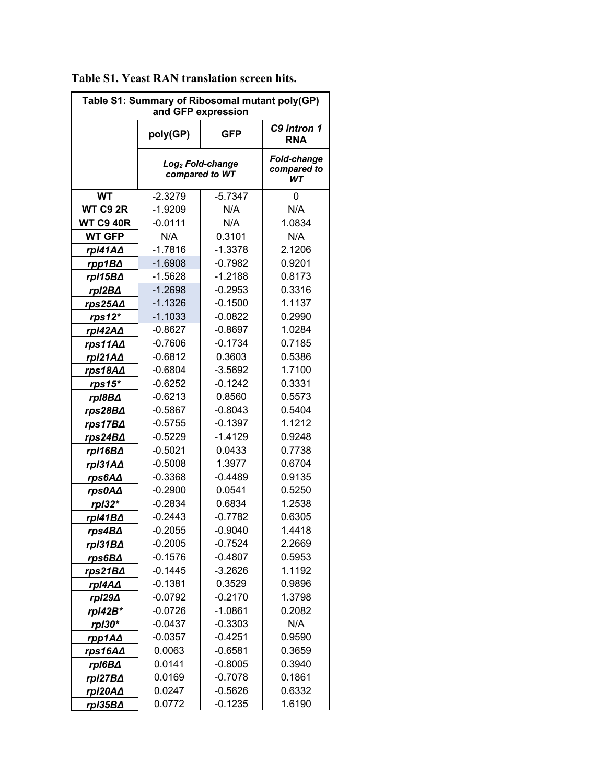| Table S1: Summary of Ribosomal mutant poly(GP)<br>and GFP expression |                                                |                                  |        |  |  |
|----------------------------------------------------------------------|------------------------------------------------|----------------------------------|--------|--|--|
|                                                                      | poly(GP)                                       | <b>GFP</b>                       |        |  |  |
|                                                                      | Log <sub>2</sub> Fold-change<br>compared to WT | Fold-change<br>compared to<br>WТ |        |  |  |
| <b>WT</b>                                                            | $-2.3279$                                      | $-5.7347$                        | 0      |  |  |
| WT C9 2R                                                             | $-1.9209$                                      | N/A                              | N/A    |  |  |
| <b>WT C9 40R</b>                                                     | $-0.0111$                                      | N/A                              | 1.0834 |  |  |
| <b>WT GFP</b>                                                        | N/A                                            | 0.3101                           | N/A    |  |  |
| rpI41A $\Delta$                                                      | $-1.7816$                                      | $-1.3378$                        | 2.1206 |  |  |
| rpp1BA                                                               | $-1.6908$                                      | $-0.7982$                        | 0.9201 |  |  |
| rpI15B∆                                                              | $-1.5628$                                      | $-1.2188$                        | 0.8173 |  |  |
| rpI2B∆                                                               | $-1.2698$                                      | $-0.2953$                        | 0.3316 |  |  |
| rps25A∆                                                              | $-1.1326$                                      | $-0.1500$                        | 1.1137 |  |  |
| $rps12*$                                                             | $-1.1033$                                      | $-0.0822$                        | 0.2990 |  |  |
| rpI42A∆                                                              | $-0.8627$                                      | $-0.8697$                        | 1.0284 |  |  |
| rps11A $\Delta$                                                      | $-0.7606$                                      | $-0.1734$                        | 0.7185 |  |  |
| rpI21A∆                                                              | $-0.6812$                                      | 0.3603                           | 0.5386 |  |  |
| rps18A∆                                                              | $-0.6804$                                      | $-3.5692$                        | 1.7100 |  |  |
| rps15*                                                               | $-0.6252$                                      | $-0.1242$                        | 0.3331 |  |  |
| rpI8B∆                                                               | $-0.6213$                                      | 0.8560                           | 0.5573 |  |  |
| rps28B∆                                                              | $-0.5867$                                      | $-0.8043$                        | 0.5404 |  |  |
| rps17B∆                                                              | $-0.5755$                                      | $-0.1397$                        | 1.1212 |  |  |
| rps24B∆                                                              | $-0.5229$                                      | $-1.4129$                        | 0.9248 |  |  |
| rpl16B∆                                                              | $-0.5021$                                      | 0.0433                           | 0.7738 |  |  |
| rpI31A∆                                                              | $-0.5008$                                      | 1.3977                           | 0.6704 |  |  |
| rps6A∆                                                               | $-0.3368$                                      | $-0.4489$                        | 0.9135 |  |  |
| rps0A∆                                                               | $-0.2900$                                      | 0.0541                           | 0.5250 |  |  |
| rpl32*                                                               | $-0.2834$                                      | 0.6834                           | 1.2538 |  |  |
| rpl41B∆                                                              | $-0.2443$                                      | $-0.7782$                        | 0.6305 |  |  |
| rps4B∆                                                               | $-0.2055$                                      | $-0.9040$                        | 1.4418 |  |  |
| rpI31B∆                                                              | $-0.2005$                                      | $-0.7524$                        | 2.2669 |  |  |
| rps6B∆                                                               | $-0.1576$                                      | $-0.4807$                        | 0.5953 |  |  |
| rps21B <sub>△</sub>                                                  | $-0.1445$                                      | $-3.2626$                        | 1.1192 |  |  |
| rpI4A∆                                                               | $-0.1381$                                      | 0.3529                           | 0.9896 |  |  |
| rpI29∆                                                               | $-0.0792$                                      | $-0.2170$                        | 1.3798 |  |  |
| rpl42B*                                                              | $-0.0726$                                      | $-1.0861$                        | 0.2082 |  |  |
| rpI30*                                                               | $-0.0437$                                      | $-0.3303$                        | N/A    |  |  |
| rpp1A $\Delta$                                                       | $-0.0357$                                      | $-0.4251$                        | 0.9590 |  |  |
| rps16A∆                                                              | 0.0063                                         | $-0.6581$                        | 0.3659 |  |  |
| rpI6B∆                                                               | 0.0141                                         | $-0.8005$                        | 0.3940 |  |  |
| rpl27B $\Delta$                                                      | 0.0169                                         | $-0.7078$                        | 0.1861 |  |  |
| rpI20AA                                                              | 0.0247                                         | $-0.5626$                        | 0.6332 |  |  |
| rpI35B∆                                                              | 0.0772                                         | $-0.1235$                        | 1.6190 |  |  |

**Table S1. Yeast RAN translation screen hits.**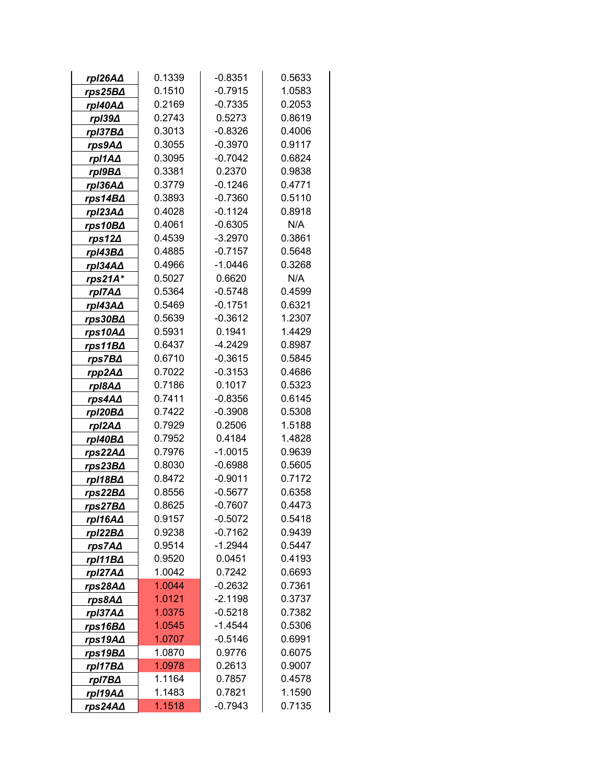| rpI26A∆             | 0.1339 | $-0.8351$           | 0.5633 |  |  |
|---------------------|--------|---------------------|--------|--|--|
| rps25B∆             | 0.1510 | $-0.7915$           | 1.0583 |  |  |
| rpI40A∆             | 0.2169 | $-0.7335$           | 0.2053 |  |  |
| rpI39∆              | 0.2743 | 0.5273              | 0.8619 |  |  |
| rpI37B∆             | 0.3013 | $-0.8326$           | 0.4006 |  |  |
| rps9A∆              | 0.3055 | $-0.3970$           | 0.9117 |  |  |
| rpI1A∆              | 0.3095 | $-0.7042$           | 0.6824 |  |  |
| rpI9B∆              | 0.3381 | 0.2370              | 0.9838 |  |  |
| rpI36A∆             | 0.3779 | $-0.1246$<br>0.4771 |        |  |  |
| rps14B∆             | 0.3893 | $-0.7360$           | 0.5110 |  |  |
| rpI23A∆             | 0.4028 | $-0.1124$           |        |  |  |
| rps10B∆             | 0.4061 | $-0.6305$           | N/A    |  |  |
| $rps12\Delta$       | 0.4539 | $-3.2970$           | 0.3861 |  |  |
| rpI43B∆             | 0.4885 | $-0.7157$           | 0.5648 |  |  |
| rpI34A∆             | 0.4966 | $-1.0446$           | 0.3268 |  |  |
| rps21A*             | 0.5027 | 0.6620              | N/A    |  |  |
| rpI7A $\Delta$      | 0.5364 | $-0.5748$           | 0.4599 |  |  |
| rpI43A∆             | 0.5469 | $-0.1751$           | 0.6321 |  |  |
| rps30B∆             | 0.5639 | $-0.3612$           | 1.2307 |  |  |
| rps10A∆             | 0.5931 | 0.1941              | 1.4429 |  |  |
| rps11B∆             | 0.6437 | $-4.2429$           | 0.8987 |  |  |
| rps7B∆              | 0.6710 | $-0.3615$           | 0.5845 |  |  |
| rpp2A $\Delta$      | 0.7022 | $-0.3153$           | 0.4686 |  |  |
| rpI8A∆              | 0.7186 | 0.1017              | 0.5323 |  |  |
| rps4A∆              | 0.7411 | $-0.8356$           | 0.6145 |  |  |
| rpl20B∆             | 0.7422 | $-0.3908$           | 0.5308 |  |  |
| rpI2A∆              | 0.7929 | 0.2506              | 1.5188 |  |  |
| rpI40B∆             | 0.7952 | 0.4184              | 1.4828 |  |  |
| rps22AΔ             | 0.7976 | $-1.0015$           | 0.9639 |  |  |
| rps23B∆             | 0.8030 | $-0.6988$           | 0.5605 |  |  |
| rpl18B∆             | 0.8472 | $-0.9011$           | 0.7172 |  |  |
| rps22B <sub>△</sub> | 0.8556 | $-0.5677$           | 0.6358 |  |  |
| rps27B∆             | 0.8625 | $-0.7607$           | 0.4473 |  |  |
| rpI16A∆             | 0.9157 | $-0.5072$           | 0.5418 |  |  |
| rpI22B∆             | 0.9238 | $-0.7162$           | 0.9439 |  |  |
| rps7A∆              | 0.9514 | $-1.2944$           | 0.5447 |  |  |
| rpl11B∆             | 0.9520 | 0.0451              | 0.4193 |  |  |
| rpI27A∆             | 1.0042 | 0.7242              | 0.6693 |  |  |
| rps28A∆             | 1.0044 | $-0.2632$           | 0.7361 |  |  |
| rps8A∆              | 1.0121 | $-2.1198$           | 0.3737 |  |  |
| rpI37A∆             | 1.0375 | $-0.5218$           | 0.7382 |  |  |
| rps16B∆             | 1.0545 | $-1.4544$           | 0.5306 |  |  |
| rps19A∆             | 1.0707 | $-0.5146$           | 0.6991 |  |  |
| rps19B∆             | 1.0870 | 0.9776              | 0.6075 |  |  |
| rpl17B∆             | 1.0978 | 0.2613              | 0.9007 |  |  |
| rpI7B∆              | 1.1164 | 0.7857              | 0.4578 |  |  |
| rpI19A∆             | 1.1483 | 0.7821              | 1.1590 |  |  |
| rps24A∆             | 1.1518 | $-0.7943$           | 0.7135 |  |  |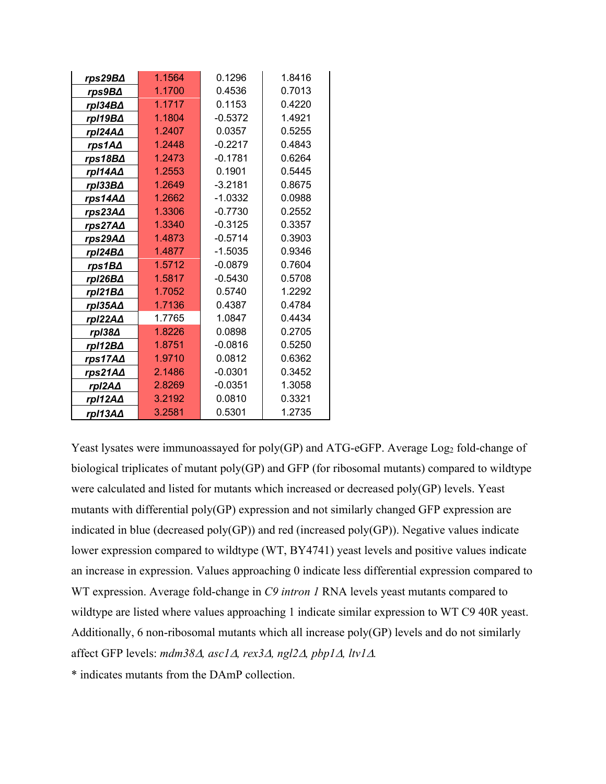|                 | 1.1564 | 0.1296    | 1.8416 |  |  |
|-----------------|--------|-----------|--------|--|--|
| rps29B∆         |        |           |        |  |  |
| rps9B∆          | 1.1700 | 0.4536    | 0.7013 |  |  |
| rpI34B∆         | 1.1717 | 0.1153    | 0.4220 |  |  |
| rpI19B∆         | 1.1804 | $-0.5372$ | 1.4921 |  |  |
| rpI24A $\Delta$ | 1.2407 | 0.0357    | 0.5255 |  |  |
| rps1A $\Delta$  | 1.2448 | $-0.2217$ | 0.4843 |  |  |
| rps18B∆         | 1.2473 | $-0.1781$ | 0.6264 |  |  |
| rpl14A∆         | 1.2553 | 0.1901    | 0.5445 |  |  |
| rpI33B∆         | 1.2649 | $-3.2181$ | 0.8675 |  |  |
| rps14A∆         | 1.2662 | $-1.0332$ | 0.0988 |  |  |
| rps23A∆         | 1.3306 |           | 0.2552 |  |  |
| rps27A∆         | 1.3340 | $-0.3125$ | 0.3357 |  |  |
| rps29A∆         | 1.4873 | $-0.5714$ | 0.3903 |  |  |
| rpl24B∆         | 1.4877 | $-1.5035$ | 0.9346 |  |  |
| rps1B∆          | 1.5712 | $-0.0879$ | 0.7604 |  |  |
| rpI26B∆         | 1.5817 | $-0.5430$ | 0.5708 |  |  |
| rpl21B∆         | 1.7052 | 0.5740    | 1.2292 |  |  |
| rpI35A∆         | 1.7136 | 0.4387    | 0.4784 |  |  |
| rpI22A∆         | 1.7765 | 1.0847    | 0.4434 |  |  |
| rpI38∆          | 1.8226 | 0.0898    | 0.2705 |  |  |
| rp112B∆         | 1.8751 | $-0.0816$ | 0.5250 |  |  |
| rps17AA         | 1.9710 | 0.0812    | 0.6362 |  |  |
| rps21A∆         | 2.1486 | $-0.0301$ | 0.3452 |  |  |
| rpI2A∆          | 2.8269 | $-0.0351$ | 1.3058 |  |  |
| rpI12A $\Delta$ | 3.2192 | 0.0810    | 0.3321 |  |  |
| rpI13A∆         | 3.2581 | 0.5301    | 1.2735 |  |  |

Yeast lysates were immunoassayed for poly(GP) and ATG-eGFP. Average Log<sub>2</sub> fold-change of biological triplicates of mutant poly(GP) and GFP (for ribosomal mutants) compared to wildtype were calculated and listed for mutants which increased or decreased poly(GP) levels. Yeast mutants with differential poly(GP) expression and not similarly changed GFP expression are indicated in blue (decreased poly(GP)) and red (increased poly(GP)). Negative values indicate lower expression compared to wildtype (WT, BY4741) yeast levels and positive values indicate an increase in expression. Values approaching 0 indicate less differential expression compared to WT expression. Average fold-change in *C9 intron 1* RNA levels yeast mutants compared to wildtype are listed where values approaching 1 indicate similar expression to WT C9 40R yeast. Additionally, 6 non-ribosomal mutants which all increase poly(GP) levels and do not similarly affect GFP levels:  $mdm38\Delta$ ,  $asc1\Delta$ ,  $rex3\Delta$ ,  $ng12\Delta$ ,  $pbp1\Delta$ ,  $ltv1\Delta$ .

\* indicates mutants from the DAmP collection.